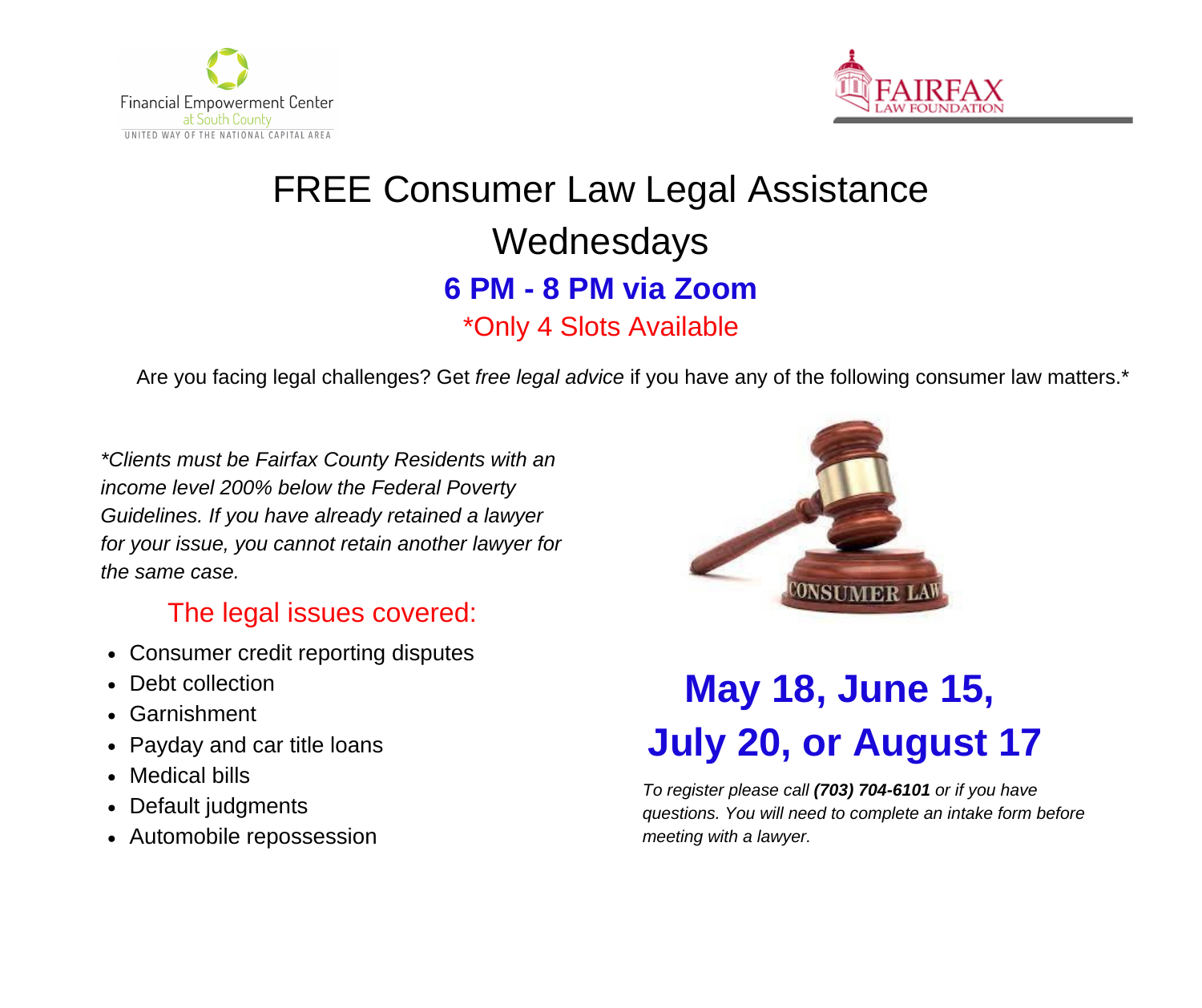



## FREE Consumer Law Legal Assistance Wednesdays **6 PM - 8 PM via Zoom** \*Only 4 Slots Available

Are you facing legal challenges? Get *free legal advice* if you have any of the following consumer law matters.\*

*\*Clients must be Fairfax County Residents with an income level 200% below the Federal Poverty Guidelines. If you have already retained a lawyer for your issue, you cannot retain another lawyer for the same case.*

## The legal issues covered:

- Consumer credit reporting disputes
- Debt collection
- Garnishment
- Payday and car title loans
- Medical bills
- Default judgments
- Automobile repossession



## **May 18, June 15, July 20, or August 17**

*To register please call (703) 704-6101 or if you have questions. You will need to complete an intake form before meeting with a lawyer.*